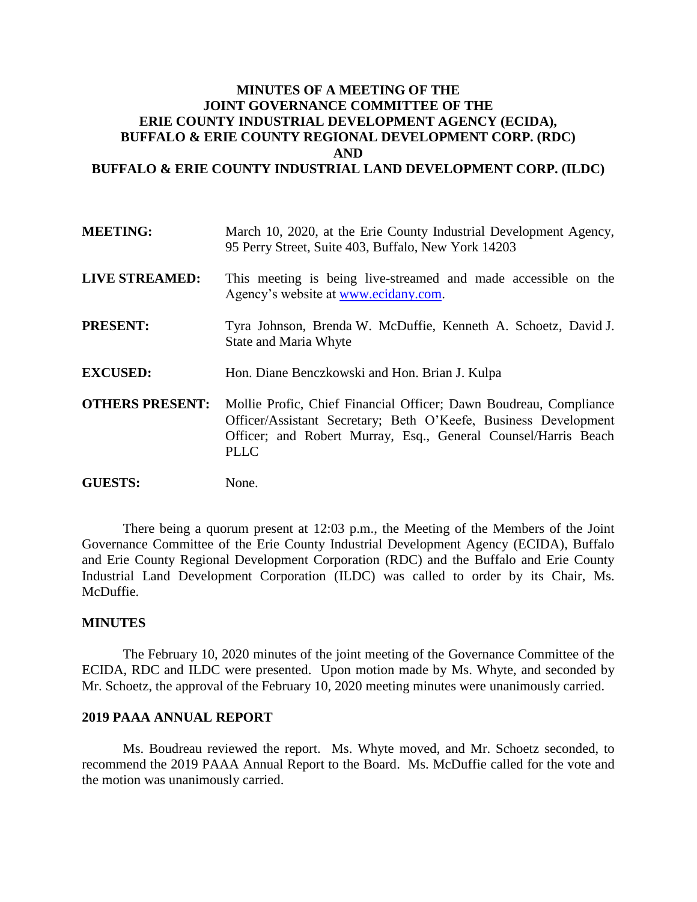# **MINUTES OF A MEETING OF THE JOINT GOVERNANCE COMMITTEE OF THE ERIE COUNTY INDUSTRIAL DEVELOPMENT AGENCY (ECIDA), BUFFALO & ERIE COUNTY REGIONAL DEVELOPMENT CORP. (RDC) AND BUFFALO & ERIE COUNTY INDUSTRIAL LAND DEVELOPMENT CORP. (ILDC)**

| <b>MEETING:</b>        | March 10, 2020, at the Erie County Industrial Development Agency,<br>95 Perry Street, Suite 403, Buffalo, New York 14203                                                                                        |
|------------------------|-----------------------------------------------------------------------------------------------------------------------------------------------------------------------------------------------------------------|
| <b>LIVE STREAMED:</b>  | This meeting is being live-streamed and made accessible on the<br>Agency's website at www.ecidany.com.                                                                                                          |
| <b>PRESENT:</b>        | Tyra Johnson, Brenda W. McDuffie, Kenneth A. Schoetz, David J.<br><b>State and Maria Whyte</b>                                                                                                                  |
| <b>EXCUSED:</b>        | Hon. Diane Benczkowski and Hon. Brian J. Kulpa                                                                                                                                                                  |
| <b>OTHERS PRESENT:</b> | Mollie Profic, Chief Financial Officer; Dawn Boudreau, Compliance<br>Officer/Assistant Secretary; Beth O'Keefe, Business Development<br>Officer; and Robert Murray, Esq., General Counsel/Harris Beach<br>PLLC. |

**GUESTS:** None.

There being a quorum present at 12:03 p.m., the Meeting of the Members of the Joint Governance Committee of the Erie County Industrial Development Agency (ECIDA), Buffalo and Erie County Regional Development Corporation (RDC) and the Buffalo and Erie County Industrial Land Development Corporation (ILDC) was called to order by its Chair, Ms. McDuffie.

#### **MINUTES**

The February 10, 2020 minutes of the joint meeting of the Governance Committee of the ECIDA, RDC and ILDC were presented. Upon motion made by Ms. Whyte, and seconded by Mr. Schoetz, the approval of the February 10, 2020 meeting minutes were unanimously carried.

## **2019 PAAA ANNUAL REPORT**

Ms. Boudreau reviewed the report. Ms. Whyte moved, and Mr. Schoetz seconded, to recommend the 2019 PAAA Annual Report to the Board. Ms. McDuffie called for the vote and the motion was unanimously carried.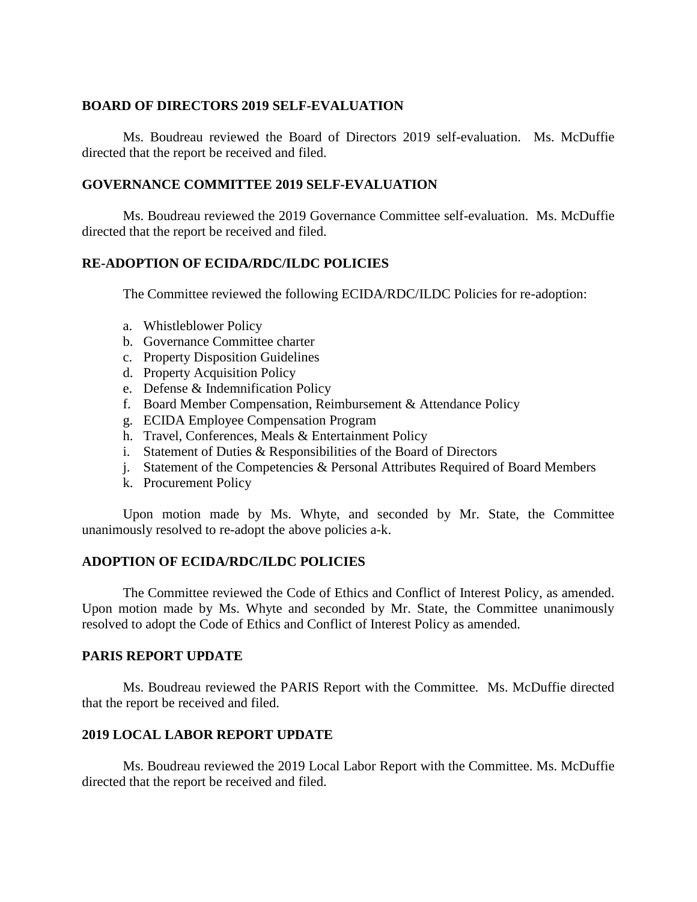### **BOARD OF DIRECTORS 2019 SELF-EVALUATION**

Ms. Boudreau reviewed the Board of Directors 2019 self-evaluation. Ms. McDuffie directed that the report be received and filed.

### **GOVERNANCE COMMITTEE 2019 SELF-EVALUATION**

Ms. Boudreau reviewed the 2019 Governance Committee self-evaluation. Ms. McDuffie directed that the report be received and filed.

### **RE-ADOPTION OF ECIDA/RDC/ILDC POLICIES**

The Committee reviewed the following ECIDA/RDC/ILDC Policies for re-adoption:

- a. Whistleblower Policy
- b. Governance Committee charter
- c. Property Disposition Guidelines
- d. Property Acquisition Policy
- e. Defense & Indemnification Policy
- f. Board Member Compensation, Reimbursement & Attendance Policy
- g. ECIDA Employee Compensation Program
- h. Travel, Conferences, Meals & Entertainment Policy
- i. Statement of Duties & Responsibilities of the Board of Directors
- j. Statement of the Competencies & Personal Attributes Required of Board Members
- k. Procurement Policy

Upon motion made by Ms. Whyte, and seconded by Mr. State, the Committee unanimously resolved to re-adopt the above policies a-k.

#### **ADOPTION OF ECIDA/RDC/ILDC POLICIES**

The Committee reviewed the Code of Ethics and Conflict of Interest Policy, as amended. Upon motion made by Ms. Whyte and seconded by Mr. State, the Committee unanimously resolved to adopt the Code of Ethics and Conflict of Interest Policy as amended.

#### **PARIS REPORT UPDATE**

Ms. Boudreau reviewed the PARIS Report with the Committee. Ms. McDuffie directed that the report be received and filed.

### **2019 LOCAL LABOR REPORT UPDATE**

Ms. Boudreau reviewed the 2019 Local Labor Report with the Committee. Ms. McDuffie directed that the report be received and filed.